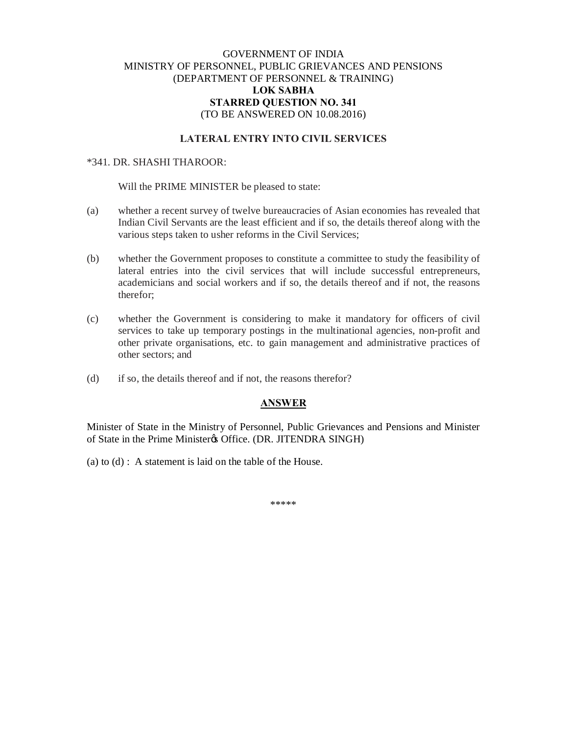## GOVERNMENT OF INDIA MINISTRY OF PERSONNEL, PUBLIC GRIEVANCES AND PENSIONS (DEPARTMENT OF PERSONNEL & TRAINING) **LOK SABHA STARRED QUESTION NO. 341** (TO BE ANSWERED ON 10.08.2016)

# **LATERAL ENTRY INTO CIVIL SERVICES**

#### \*341. DR. SHASHI THAROOR:

Will the PRIME MINISTER be pleased to state:

- (a) whether a recent survey of twelve bureaucracies of Asian economies has revealed that Indian Civil Servants are the least efficient and if so, the details thereof along with the various steps taken to usher reforms in the Civil Services;
- (b) whether the Government proposes to constitute a committee to study the feasibility of lateral entries into the civil services that will include successful entrepreneurs, academicians and social workers and if so, the details thereof and if not, the reasons therefor;
- (c) whether the Government is considering to make it mandatory for officers of civil services to take up temporary postings in the multinational agencies, non-profit and other private organisations, etc. to gain management and administrative practices of other sectors; and
- (d) if so, the details thereof and if not, the reasons therefor?

### **ANSWER**

Minister of State in the Ministry of Personnel, Public Grievances and Pensions and Minister of State in the Prime Minister & Office. (DR. JITENDRA SINGH)

(a) to (d) : A statement is laid on the table of the House.

\*\*\*\*\*